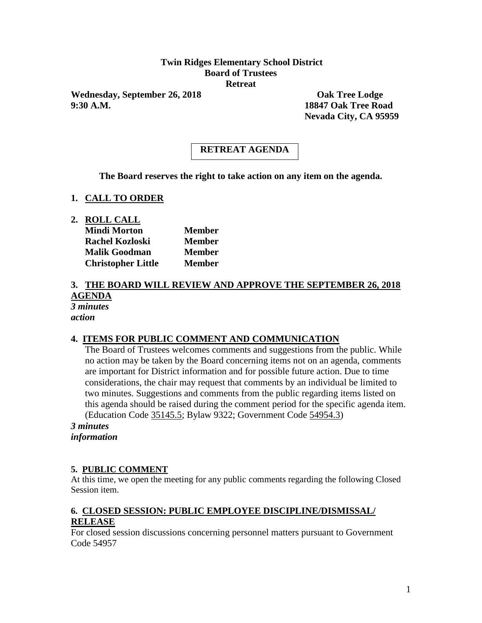# **Twin Ridges Elementary School District Board of Trustees Retreat**

Wednesday, September 26, 2018 **Oak Tree Lodge 9:30 A.M. 18847 Oak Tree Road**

**Nevada City, CA 95959**

# **RETREAT AGENDA**

**The Board reserves the right to take action on any item on the agenda.**

#### **1. CALL TO ORDER**

**2. ROLL CALL**

| <b>Mindi Morton</b>       | <b>Member</b> |
|---------------------------|---------------|
| Rachel Kozloski           | <b>Member</b> |
| <b>Malik Goodman</b>      | <b>Member</b> |
| <b>Christopher Little</b> | <b>Member</b> |

#### **3. THE BOARD WILL REVIEW AND APPROVE THE SEPTEMBER 26, 2018 AGENDA** *3 minutes*

*action*

#### **4. ITEMS FOR PUBLIC COMMENT AND COMMUNICATION**

The Board of Trustees welcomes comments and suggestions from the public. While no action may be taken by the Board concerning items not on an agenda, comments are important for District information and for possible future action. Due to time considerations, the chair may request that comments by an individual be limited to two minutes. Suggestions and comments from the public regarding items listed on this agenda should be raised during the comment period for the specific agenda item. (Education Code 35145.5; Bylaw 9322; Government Code 54954.3)

*3 minutes information*

#### **5. PUBLIC COMMENT**

At this time, we open the meeting for any public comments regarding the following Closed Session item.

# **6. CLOSED SESSION: PUBLIC EMPLOYEE DISCIPLINE/DISMISSAL/ RELEASE**

For closed session discussions concerning personnel matters pursuant to Government Code 54957